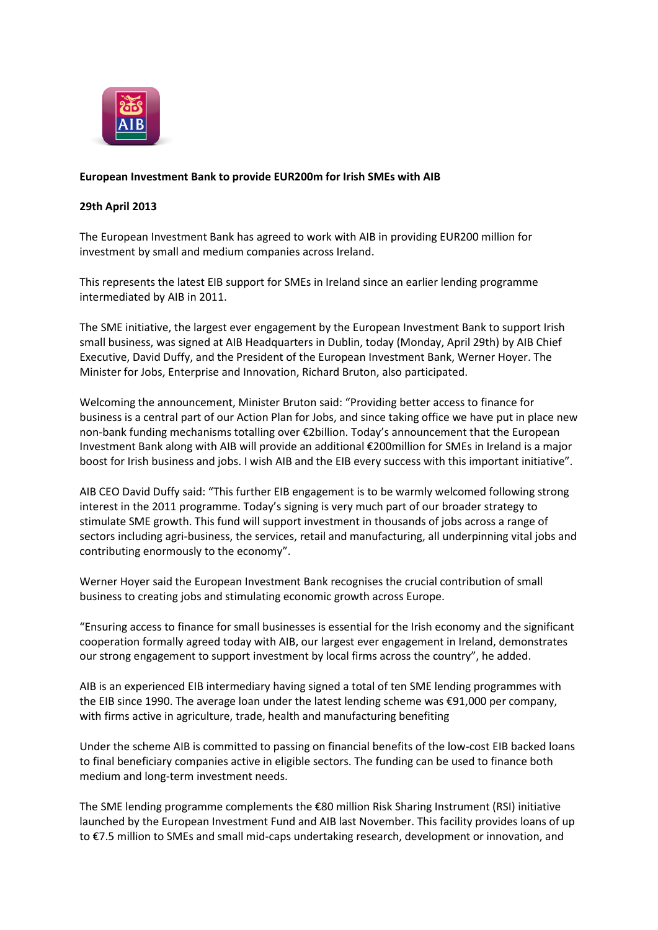

## **European Investment Bank to provide EUR200m for Irish SMEs with AIB**

## **29th April 2013**

The European Investment Bank has agreed to work with AIB in providing EUR200 million for investment by small and medium companies across Ireland.

This represents the latest EIB support for SMEs in Ireland since an earlier lending programme intermediated by AIB in 2011.

The SME initiative, the largest ever engagement by the European Investment Bank to support Irish small business, was signed at AIB Headquarters in Dublin, today (Monday, April 29th) by AIB Chief Executive, David Duffy, and the President of the European Investment Bank, Werner Hoyer. The Minister for Jobs, Enterprise and Innovation, Richard Bruton, also participated.

Welcoming the announcement, Minister Bruton said: "Providing better access to finance for business is a central part of our Action Plan for Jobs, and since taking office we have put in place new non-bank funding mechanisms totalling over €2billion. Today's announcement that the European Investment Bank along with AIB will provide an additional €200million for SMEs in Ireland is a major boost for Irish business and jobs. I wish AIB and the EIB every success with this important initiative".

AIB CEO David Duffy said: "This further EIB engagement is to be warmly welcomed following strong interest in the 2011 programme. Today's signing is very much part of our broader strategy to stimulate SME growth. This fund will support investment in thousands of jobs across a range of sectors including agri-business, the services, retail and manufacturing, all underpinning vital jobs and contributing enormously to the economy".

Werner Hoyer said the European Investment Bank recognises the crucial contribution of small business to creating jobs and stimulating economic growth across Europe.

"Ensuring access to finance for small businesses is essential for the Irish economy and the significant cooperation formally agreed today with AIB, our largest ever engagement in Ireland, demonstrates our strong engagement to support investment by local firms across the country", he added.

AIB is an experienced EIB intermediary having signed a total of ten SME lending programmes with the EIB since 1990. The average loan under the latest lending scheme was €91,000 per company, with firms active in agriculture, trade, health and manufacturing benefiting

Under the scheme AIB is committed to passing on financial benefits of the low-cost EIB backed loans to final beneficiary companies active in eligible sectors. The funding can be used to finance both medium and long-term investment needs.

The SME lending programme complements the €80 million Risk Sharing Instrument (RSI) initiative launched by the European Investment Fund and AIB last November. This facility provides loans of up to €7.5 million to SMEs and small mid-caps undertaking research, development or innovation, and